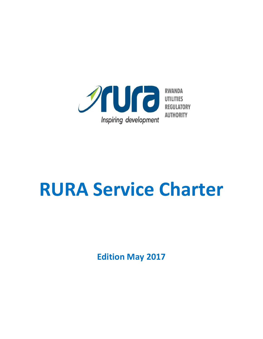

# **RURA Service Charter**

**Edition May 2017**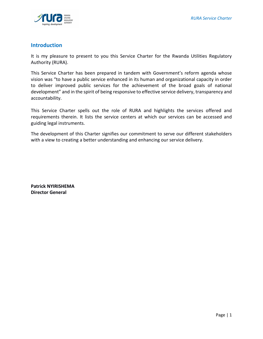

## **Introduction**

It is my pleasure to present to you this Service Charter for the Rwanda Utilities Regulatory Authority (RURA).

This Service Charter has been prepared in tandem with Government's reform agenda whose vision was "to have a public service enhanced in its human and organizational capacity in order to deliver improved public services for the achievement of the broad goals of national development" and in the spirit of being responsive to effective service delivery, transparency and accountability.

This Service Charter spells out the role of RURA and highlights the services offered and requirements therein. It lists the service centers at which our services can be accessed and guiding legal instruments.

The development of this Charter signifies our commitment to serve our different stakeholders with a view to creating a better understanding and enhancing our service delivery.

**Patrick NYIRISHEMA Director General**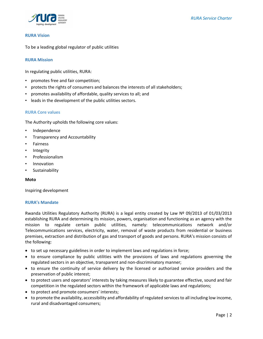

### **RURA Vision**

To be a leading global regulator of public utilities

#### **RURA Mission**

In regulating public utilities, RURA:

- promotes free and fair competition;
- protects the rights of consumers and balances the interests of all stakeholders;
- promotes availability of affordable, quality services to all; and
- leads in the development of the public utilities sectors.

#### **RURA Core values**

The Authority upholds the following core values:

- Independence
- Transparency and Accountability
- Fairness
- Integrity
- Professionalism
- Innovation
- Sustainability

#### **Moto**

Inspiring development

#### **RURA's Mandate**

Rwanda Utilities Regulatory Authority (RURA) is a legal entity created by Law Nº 09/2013 of 01/03/2013 establishing RURA and determining its mission, powers, organisation and functioning as an agency with the mission to regulate certain public utilities, namely: telecommunications network and/or Telecommunications services, electricity, water, removal of waste products from residential or business premises, extraction and distribution of gas and transport of goods and persons. RURA's mission consists of the following:

- to set up necessary guidelines in order to implement laws and regulations in force;
- to ensure compliance by public utilities with the provisions of laws and regulations governing the regulated sectors in an objective, transparent and non-discriminatory manner;
- to ensure the continuity of service delivery by the licensed or authorized service providers and the preservation of public interest;
- to protect users and operators' interests by taking measures likely to guarantee effective, sound and fair competition in the regulated sectors within the framework of applicable laws and regulations;
- to protect and promote consumers' interests;
- to promote the availability, accessibility and affordability of regulated services to all including low income, rural and disadvantaged consumers;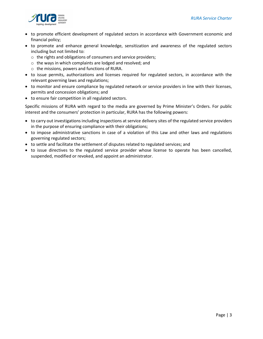

- to promote efficient development of regulated sectors in accordance with Government economic and financial policy;
- to promote and enhance general knowledge, sensitization and awareness of the regulated sectors including but not limited to:
	- o the rights and obligations of consumers and service providers;
	- o the ways in which complaints are lodged and resolved; and
	- o the missions, powers and functions of RURA.
- to issue permits, authorizations and licenses required for regulated sectors, in accordance with the relevant governing laws and regulations;
- to monitor and ensure compliance by regulated network or service providers in line with their licenses, permits and concession obligations; and
- to ensure fair competition in all regulated sectors.

Specific missions of RURA with regard to the media are governed by Prime Minister's Orders. For public interest and the consumers' protection in particular, RURA has the following powers:

- to carry out investigations including inspections at service delivery sites of the regulated service providers in the purpose of ensuring compliance with their obligations;
- to impose administrative sanctions in case of a violation of this Law and other laws and regulations governing regulated sectors;
- to settle and facilitate the settlement of disputes related to regulated services; and
- to issue directives to the regulated service provider whose license to operate has been cancelled, suspended, modified or revoked, and appoint an administrator.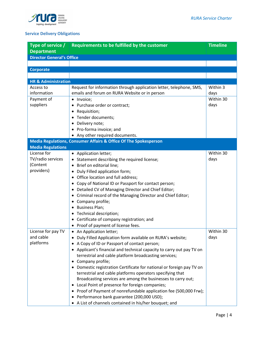

## **Service Delivery Obligations**

| Type of service /                | Requirements to be fulfilled by the customer                          | <b>Timeline</b> |
|----------------------------------|-----------------------------------------------------------------------|-----------------|
| <b>Department</b>                |                                                                       |                 |
| <b>Director General's Office</b> |                                                                       |                 |
|                                  |                                                                       |                 |
| <b>Corporate</b>                 |                                                                       |                 |
|                                  |                                                                       |                 |
| <b>HR &amp; Administration</b>   |                                                                       |                 |
| Access to                        | Request for information through application letter, telephone, SMS,   | Within 3        |
| information                      | emails and forum on RURA Website or in person                         | days            |
| Payment of                       | Invoice;<br>$\bullet$                                                 | Within 30       |
| suppliers                        | Purchase order or contract;                                           | days            |
|                                  | Requisition;                                                          |                 |
|                                  | Tender documents;                                                     |                 |
|                                  | Delivery note;                                                        |                 |
|                                  | • Pro-forma invoice; and                                              |                 |
|                                  | • Any other required documents.                                       |                 |
|                                  | Media Regulations, Consumer Affairs & Office Of The Spokesperson      |                 |
| <b>Media Regulations</b>         |                                                                       |                 |
| License for                      | • Application letter;                                                 | Within 30       |
| TV/radio services                | Statement describing the required license;                            | days            |
| (Content                         | Brief on editorial line;                                              |                 |
| providers)                       | Duly Filled application form;<br>٠                                    |                 |
|                                  | Office location and full address;                                     |                 |
|                                  | Copy of National ID or Passport for contact person;                   |                 |
|                                  | Detailed CV of Managing Director and Chief Editor;<br>$\bullet$       |                 |
|                                  | Criminal record of the Managing Director and Chief Editor;            |                 |
|                                  | • Company profile;                                                    |                 |
|                                  | <b>Business Plan;</b><br>$\bullet$                                    |                 |
|                                  | Technical description;                                                |                 |
|                                  | • Certificate of company registration; and                            |                 |
|                                  | Proof of payment of license fees.                                     |                 |
| License for pay TV               | An Application letter;<br>$\bullet$                                   | Within 30       |
| and cable                        | • Duly Filled Application form available on RURA's website;           | days            |
| platforms                        | A Copy of ID or Passport of contact person;                           |                 |
|                                  | • Applicant's financial and technical capacity to carry out pay TV on |                 |
|                                  | terrestrial and cable platform broadcasting services;                 |                 |
|                                  | • Company profile;                                                    |                 |
|                                  | • Domestic registration Certificate for national or foreign pay TV on |                 |
|                                  | terrestrial and cable platforms operators specifying that             |                 |
|                                  | Broadcasting services are among the businesses to carry out;          |                 |
|                                  | Local Point of presence for foreign companies;                        |                 |
|                                  | • Proof of Payment of nonrefundable application fee (500,000 Frw);    |                 |
|                                  | • Performance bank guarantee (200,000 USD);                           |                 |
|                                  | • A List of channels contained in his/her bouquet; and                |                 |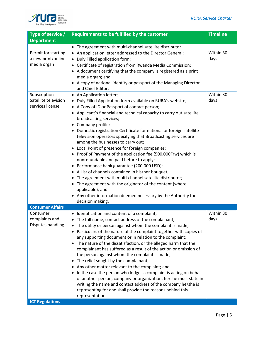

| Requirements to be fulfilled by the customer                                                                                                                                                                                                                                                                                                                                                                                                                                                                                                                                                                                                                                                                                                                                                                                                                                                                                         | <b>Timeline</b>                       |
|--------------------------------------------------------------------------------------------------------------------------------------------------------------------------------------------------------------------------------------------------------------------------------------------------------------------------------------------------------------------------------------------------------------------------------------------------------------------------------------------------------------------------------------------------------------------------------------------------------------------------------------------------------------------------------------------------------------------------------------------------------------------------------------------------------------------------------------------------------------------------------------------------------------------------------------|---------------------------------------|
|                                                                                                                                                                                                                                                                                                                                                                                                                                                                                                                                                                                                                                                                                                                                                                                                                                                                                                                                      |                                       |
| • The agreement with multi-channel satellite distributor.                                                                                                                                                                                                                                                                                                                                                                                                                                                                                                                                                                                                                                                                                                                                                                                                                                                                            |                                       |
| • An application letter addressed to the Director General;<br>Duly Filled application form;<br>• Certificate of registration from Rwanda Media Commission;<br>• A document certifying that the company is registered as a print<br>media organ; and<br>• A copy of national identity or passport of the Managing Director                                                                                                                                                                                                                                                                                                                                                                                                                                                                                                                                                                                                            | Within 30<br>days                     |
| • An Application letter;<br>Duly Filled Application form available on RURA's website;<br>• A Copy of ID or Passport of contact person;<br>• Applicant's financial and technical capacity to carry out satellite<br>broadcasting services;<br>• Company profile;<br>• Domestic registration Certificate for national or foreign satellite<br>television operators specifying that Broadcasting services are<br>among the businesses to carry out;<br>• Local Point of presence for foreign companies;<br>• Proof of Payment of the application fee (500,000Frw) which is<br>nonrefundable and paid before to apply;<br>• Performance bank guarantee (200,000 USD);<br>• A List of channels contained in his/her bouquet;<br>The agreement with multi-channel satellite distributor;<br>• The agreement with the originator of the content (where<br>applicable); and<br>• Any other information deemed necessary by the Authority for | Within 30<br>days                     |
|                                                                                                                                                                                                                                                                                                                                                                                                                                                                                                                                                                                                                                                                                                                                                                                                                                                                                                                                      |                                       |
| Identification and content of a complaint;<br>• The full name, contact address of the complainant;<br>The utility or person against whom the complaint is made;<br>Particulars of the nature of the complaint together with copies of<br>any supporting document or in relation to the complaint;<br>• The nature of the dissatisfaction, or the alleged harm that the<br>complainant has suffered as a result of the action or omission of<br>the person against whom the complaint is made;<br>The relief sought by the complainant;<br>• Any other matter relevant to the complaint; and<br>In the case the person who lodges a complaint is acting on behalf<br>of another person, company or organization, he/she must state in<br>writing the name and contact address of the company he/she is<br>representing for and shall provide the reasons behind this<br>representation.                                               | Within 30<br>days                     |
|                                                                                                                                                                                                                                                                                                                                                                                                                                                                                                                                                                                                                                                                                                                                                                                                                                                                                                                                      | and Chief Editor.<br>decision making. |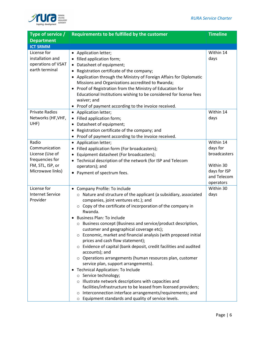

| Type of service /       | Requirements to be fulfilled by the customer                                                      | <b>Timeline</b> |
|-------------------------|---------------------------------------------------------------------------------------------------|-----------------|
| <b>Department</b>       |                                                                                                   |                 |
| <b>ICT SRMM</b>         |                                                                                                   |                 |
| License for             | • Application letter;                                                                             | Within 14       |
| installation and        | • filled application form;                                                                        | days            |
| operations of VSAT      | • Datasheet of equipment;                                                                         |                 |
| earth terminal          | • Registration certificate of the company;                                                        |                 |
|                         | • Application through the Ministry of Foreign Affairs for Diplomatic                              |                 |
|                         | Missions and Organizations accredited to Rwanda;                                                  |                 |
|                         | • Proof of Registration from the Ministry of Education for                                        |                 |
|                         | Educational Institutions wishing to be considered for license fees                                |                 |
|                         | waiver; and                                                                                       |                 |
|                         | • Proof of payment according to the invoice received.                                             |                 |
| <b>Private Radios</b>   | • Application letter;                                                                             | Within 14       |
| Networks (HF, VHF,      | • Filled application form;                                                                        | days            |
| UHF)                    | • Datasheet of equipment;                                                                         |                 |
|                         | • Registration certificate of the company; and                                                    |                 |
|                         | • Proof of payment according to the invoice received.                                             |                 |
| Radio                   | • Application letter;                                                                             | Within 14       |
| Communication           | • Filled application form (For broadcasters);                                                     | days for        |
| License (Use of         | Equipment datasheet (For broadcasters);                                                           | broadcasters    |
| frequencies for         | • Technical description of the network (for ISP and Telecom                                       |                 |
| FM, STL, ISP, or        | operators); and                                                                                   | Within 30       |
| Microwave links)        | • Payment of spectrum fees.                                                                       | days for ISP    |
|                         |                                                                                                   | and Telecom     |
|                         |                                                                                                   | operators       |
| License for             | Company Profile: To include<br>$\bullet$                                                          | Within 30       |
| <b>Internet Service</b> | o Nature and structure of the applicant (a subsidiary, associated                                 | days            |
| Provider                | companies, joint ventures etc.); and                                                              |                 |
|                         | $\circ$ Copy of the certificate of incorporation of the company in                                |                 |
|                         | Rwanda.                                                                                           |                 |
|                         | • Business Plan: To include                                                                       |                 |
|                         | Business concept (Business and service/product description,                                       |                 |
|                         | customer and geographical coverage etc);                                                          |                 |
|                         | ○ Economic, market and financial analysis (with proposed initial                                  |                 |
|                         | prices and cash flow statement);                                                                  |                 |
|                         | ○ Evidence of capital (bank deposit, credit facilities and audited                                |                 |
|                         | accounts); and                                                                                    |                 |
|                         | o Operations arrangements (human resources plan, customer<br>service plan, support arrangements). |                 |
|                         | • Technical Application: To Include                                                               |                 |
|                         | o Service technology;                                                                             |                 |
|                         | o Illustrate network descriptions with capacities and                                             |                 |
|                         | facilities/infrastructure to be leased from licensed providers;                                   |                 |
|                         | o Interconnection interface arrangements/requirements; and                                        |                 |
|                         | Equipment standards and quality of service levels.<br>$\circ$                                     |                 |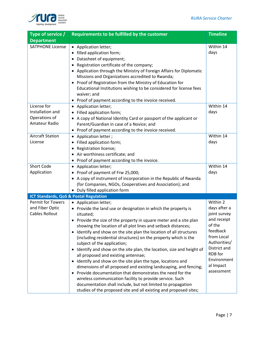

| Type of service $/$                                           | Requirements to be fulfilled by the customer                                                                                                                                                                                                                                                                                                                                                                                                                                                                                                                                                                                                                                                                                                                                                                                                                                                                                             | <b>Timeline</b>                                                                                                                                                                  |
|---------------------------------------------------------------|------------------------------------------------------------------------------------------------------------------------------------------------------------------------------------------------------------------------------------------------------------------------------------------------------------------------------------------------------------------------------------------------------------------------------------------------------------------------------------------------------------------------------------------------------------------------------------------------------------------------------------------------------------------------------------------------------------------------------------------------------------------------------------------------------------------------------------------------------------------------------------------------------------------------------------------|----------------------------------------------------------------------------------------------------------------------------------------------------------------------------------|
| <b>Department</b>                                             |                                                                                                                                                                                                                                                                                                                                                                                                                                                                                                                                                                                                                                                                                                                                                                                                                                                                                                                                          |                                                                                                                                                                                  |
| <b>SATPHONE License</b>                                       | • Application letter;<br>• filled application form;<br>• Datasheet of equipment;<br>Registration certificate of the company;<br>• Application through the Ministry of Foreign Affairs for Diplomatic<br>Missions and Organizations accredited to Rwanda;<br>• Proof of Registration from the Ministry of Education for<br>Educational Institutions wishing to be considered for license fees<br>waiver; and<br>• Proof of payment according to the invoice received.                                                                                                                                                                                                                                                                                                                                                                                                                                                                     | Within 14<br>days                                                                                                                                                                |
| License for                                                   | • Application letter;                                                                                                                                                                                                                                                                                                                                                                                                                                                                                                                                                                                                                                                                                                                                                                                                                                                                                                                    | Within 14                                                                                                                                                                        |
| Installation and                                              | • Filled application form;                                                                                                                                                                                                                                                                                                                                                                                                                                                                                                                                                                                                                                                                                                                                                                                                                                                                                                               | days                                                                                                                                                                             |
| Operations of<br>Amateur Radio                                | • A copy of National Identity Card or passport of the applicant or<br>Parent/Guardian in case of a Novice; and<br>• Proof of payment according to the invoice received.                                                                                                                                                                                                                                                                                                                                                                                                                                                                                                                                                                                                                                                                                                                                                                  |                                                                                                                                                                                  |
| <b>Aircraft Station</b>                                       | • Application letter;                                                                                                                                                                                                                                                                                                                                                                                                                                                                                                                                                                                                                                                                                                                                                                                                                                                                                                                    | Within 14                                                                                                                                                                        |
| License                                                       | • Filled application form;                                                                                                                                                                                                                                                                                                                                                                                                                                                                                                                                                                                                                                                                                                                                                                                                                                                                                                               | days                                                                                                                                                                             |
|                                                               | Registration license;                                                                                                                                                                                                                                                                                                                                                                                                                                                                                                                                                                                                                                                                                                                                                                                                                                                                                                                    |                                                                                                                                                                                  |
|                                                               | • Air worthiness certificate; and                                                                                                                                                                                                                                                                                                                                                                                                                                                                                                                                                                                                                                                                                                                                                                                                                                                                                                        |                                                                                                                                                                                  |
|                                                               | • Proof of payment according to the invoice.                                                                                                                                                                                                                                                                                                                                                                                                                                                                                                                                                                                                                                                                                                                                                                                                                                                                                             |                                                                                                                                                                                  |
| <b>Short Code</b>                                             | • Application letter;                                                                                                                                                                                                                                                                                                                                                                                                                                                                                                                                                                                                                                                                                                                                                                                                                                                                                                                    | Within 14                                                                                                                                                                        |
| Application                                                   | • Proof of payment of Frw 25,000;                                                                                                                                                                                                                                                                                                                                                                                                                                                                                                                                                                                                                                                                                                                                                                                                                                                                                                        | days                                                                                                                                                                             |
|                                                               | • A copy of instrument of incorporation in the Republic of Rwanda                                                                                                                                                                                                                                                                                                                                                                                                                                                                                                                                                                                                                                                                                                                                                                                                                                                                        |                                                                                                                                                                                  |
|                                                               | (for Companies, NGOs, Cooperatives and Association); and                                                                                                                                                                                                                                                                                                                                                                                                                                                                                                                                                                                                                                                                                                                                                                                                                                                                                 |                                                                                                                                                                                  |
|                                                               | • Duly filled application form                                                                                                                                                                                                                                                                                                                                                                                                                                                                                                                                                                                                                                                                                                                                                                                                                                                                                                           |                                                                                                                                                                                  |
| ICT Standards, QoS & Postal Regulation                        |                                                                                                                                                                                                                                                                                                                                                                                                                                                                                                                                                                                                                                                                                                                                                                                                                                                                                                                                          |                                                                                                                                                                                  |
| Permit for Towers<br>and Fiber Optic<br><b>Cables Rollout</b> | • Application letter;<br>• Provide the land use or designation in which the property is<br>situated;<br>• Provide the size of the property in square meter and a site plan<br>showing the location of all plot lines and setback distances;<br>• Identify and show on the site plan the location of all structures<br>(including residential structures) on the property which is the<br>subject of the application;<br>• Identify and show on the site plan, the location, size and height of<br>all proposed and existing antennae;<br>• Identify and show on the site plan the type, locations and<br>dimensions of all proposed and existing landscaping, and fencing;<br>• Provide documentation that demonstrates the need for the<br>wireless communication facility to provide service. Such<br>documentation shall include, but not limited to propagation<br>studies of the proposed site and all existing and proposed sites; | Within 2<br>days after a<br>joint survey<br>and receipt<br>of the<br>feedback<br>from Local<br>Authorities/<br>District and<br>RDB for<br>Environment<br>al Impact<br>assessment |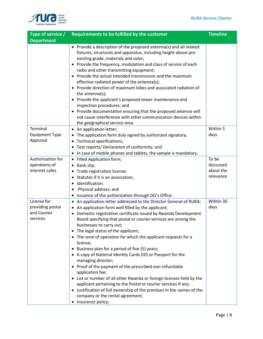

| Type of service /                 | Requirements to be fulfilled by the customer                                                                                                                                                                                                                                                                                                                                                                                                                                                                                                                                                                                                                                                                                                                      | <b>Timeline</b> |
|-----------------------------------|-------------------------------------------------------------------------------------------------------------------------------------------------------------------------------------------------------------------------------------------------------------------------------------------------------------------------------------------------------------------------------------------------------------------------------------------------------------------------------------------------------------------------------------------------------------------------------------------------------------------------------------------------------------------------------------------------------------------------------------------------------------------|-----------------|
| <b>Department</b>                 |                                                                                                                                                                                                                                                                                                                                                                                                                                                                                                                                                                                                                                                                                                                                                                   |                 |
|                                   | • Provide a description of the proposed antenna(s) and all related<br>fixtures, structures and apparatus, including height above pre-<br>existing grade, materials and color;<br>• Provide the frequency, modulation and class of service of each<br>radio and other transmitting equipment;<br>• Provide the actual intended transmission and the maximum<br>effective radiated power of the antenna(s);<br>• Provide direction of maximum lobes and associated radiation of<br>the antenna(s);<br>• Provide the applicant's proposed tower maintenance and<br>inspection procedures; and<br>• Provide documentation ensuring that the proposed antenna will<br>not cause interference with other communication devices within<br>the geographical service area. |                 |
| Terminal                          | • An application letter;                                                                                                                                                                                                                                                                                                                                                                                                                                                                                                                                                                                                                                                                                                                                          | Within 5        |
| <b>Equipment Type</b><br>Approval | • The application form duly signed by authorized signatory;<br>• Technical specifications;<br>• Test reports/ Declaration of conformity; and<br>• In case of mobile phones and tablets, the sample is mandatory.                                                                                                                                                                                                                                                                                                                                                                                                                                                                                                                                                  | days            |
| Authorization for                 | • Filled Application form;                                                                                                                                                                                                                                                                                                                                                                                                                                                                                                                                                                                                                                                                                                                                        | To be           |
| operations of                     | • Bank slip;                                                                                                                                                                                                                                                                                                                                                                                                                                                                                                                                                                                                                                                                                                                                                      | discussed       |
| internet cafes                    | • Trade registration license;                                                                                                                                                                                                                                                                                                                                                                                                                                                                                                                                                                                                                                                                                                                                     | about the       |
|                                   | • Statutes if it is an association;                                                                                                                                                                                                                                                                                                                                                                                                                                                                                                                                                                                                                                                                                                                               | relevance       |
|                                   | · Identification;                                                                                                                                                                                                                                                                                                                                                                                                                                                                                                                                                                                                                                                                                                                                                 |                 |
|                                   | Physical address; and<br>$\bullet$                                                                                                                                                                                                                                                                                                                                                                                                                                                                                                                                                                                                                                                                                                                                |                 |
|                                   | • Issuance of the authorization through DG's Office.                                                                                                                                                                                                                                                                                                                                                                                                                                                                                                                                                                                                                                                                                                              |                 |
| License for                       | • An application letter addressed to the Director General of RURA;                                                                                                                                                                                                                                                                                                                                                                                                                                                                                                                                                                                                                                                                                                | Within 30       |
| providing postal                  | • An application form well filled by the applicant;                                                                                                                                                                                                                                                                                                                                                                                                                                                                                                                                                                                                                                                                                                               | days            |
| and Courier                       | Domestic registration certificate issued by Rwanda Development                                                                                                                                                                                                                                                                                                                                                                                                                                                                                                                                                                                                                                                                                                    |                 |
| services                          | Board specifying that postal or courier services are among the<br>businesses to carry out;                                                                                                                                                                                                                                                                                                                                                                                                                                                                                                                                                                                                                                                                        |                 |
|                                   | • The legal status of the applicant;                                                                                                                                                                                                                                                                                                                                                                                                                                                                                                                                                                                                                                                                                                                              |                 |
|                                   | • The zone of operation for which the applicant requests for a<br>license;                                                                                                                                                                                                                                                                                                                                                                                                                                                                                                                                                                                                                                                                                        |                 |
|                                   | • Business plan for a period of five (5) years;                                                                                                                                                                                                                                                                                                                                                                                                                                                                                                                                                                                                                                                                                                                   |                 |
|                                   | • A copy of National Identity Cards (ID) or Passport for the<br>managing director;                                                                                                                                                                                                                                                                                                                                                                                                                                                                                                                                                                                                                                                                                |                 |
|                                   | • Proof of the payment of the prescribed non-refundable<br>application fee;                                                                                                                                                                                                                                                                                                                                                                                                                                                                                                                                                                                                                                                                                       |                 |
|                                   | • List or number of all other Rwanda or foreign licenses held by the<br>applicant pertaining to the Postal or courier services if any;                                                                                                                                                                                                                                                                                                                                                                                                                                                                                                                                                                                                                            |                 |
|                                   | • Justification of full ownership of the premises in the names of the<br>company or the rental agreement;                                                                                                                                                                                                                                                                                                                                                                                                                                                                                                                                                                                                                                                         |                 |
|                                   | • Insurance policy;                                                                                                                                                                                                                                                                                                                                                                                                                                                                                                                                                                                                                                                                                                                                               |                 |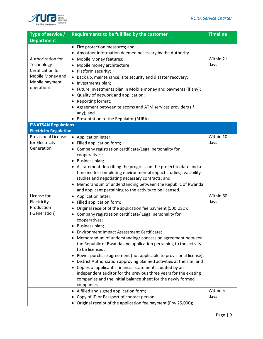

| Type of service /             | Requirements to be fulfilled by the customer                           | <b>Timeline</b> |
|-------------------------------|------------------------------------------------------------------------|-----------------|
| <b>Department</b>             |                                                                        |                 |
|                               | • Fire protection measures; and                                        |                 |
|                               | • Any other information deemed necessary by the Authority.             |                 |
| Authorization for             | • Mobile Money features;                                               | Within 21       |
| Technology                    | Mobile money architecture;                                             | days            |
| Certification for             | • Platform security;                                                   |                 |
| Mobile Money and              | • Back up, maintenance, site security and disaster recovery;           |                 |
| Mobile payment                | • Investments plan;                                                    |                 |
| operations                    | • Future investments plan in Mobile money and payments (if any);       |                 |
|                               | • Quality of network and application;                                  |                 |
|                               | Reporting format;                                                      |                 |
|                               | • Agreement between telecoms and ATM services providers (If            |                 |
|                               | any); and                                                              |                 |
|                               | • Presentation to the Regulator (RURA).                                |                 |
| <b>EWATSAN Regulations</b>    |                                                                        |                 |
| <b>Electricity Regulation</b> |                                                                        |                 |
| <b>Provisional License</b>    | • Application letter;                                                  | Within 10       |
| for Electricity               | • Filled application form;                                             | days            |
| Generation                    | • Company registration certificate/Legal personality for               |                 |
|                               | cooperatives;                                                          |                 |
|                               | • Business plan;                                                       |                 |
|                               | • A statement describing the progress on the project to date and a     |                 |
|                               | timeline for completing environmental impact studies, feasibility      |                 |
|                               | studies and negotiating necessary contracts; and                       |                 |
|                               | • Memorandum of understanding between the Republic of Rwanda           |                 |
| License for                   | and applicant pertaining to the activity to be licensed.               | Within 60       |
| Electricity                   | • Application letter;<br>• Filled application form;                    | days            |
| Production                    | Original receipt of the application fee payment (500 USD);             |                 |
| (Generation)                  | Company registration certificate/ Legal personality for                |                 |
|                               | cooperatives;                                                          |                 |
|                               | Business plan;<br>$\bullet$                                            |                 |
|                               | Environment Impact Assessment Certificate;                             |                 |
|                               | • Memorandum of understanding/concession agreement between             |                 |
|                               | the Republic of Rwanda and application pertaining to the activity      |                 |
|                               | to be licensed;                                                        |                 |
|                               | • Power purchase agreement (not applicable to provisional license);    |                 |
|                               | • District Authorization approving planned activities at the site; and |                 |
|                               | • Copies of applicant's financial statements audited by an             |                 |
|                               | independent auditor for the previous three years for the existing      |                 |
|                               | companies and the initial balance sheet for the newly formed           |                 |
|                               | companies.                                                             |                 |
|                               | • A filled and signed application form;                                | Within 5        |
|                               | • Copy of ID or Passport of contact person;                            | days            |
|                               | Original receipt of the application fee payment (Frw 25,000);          |                 |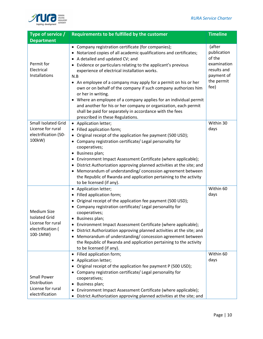

| Type of service /<br><b>Department</b>                                                           | Requirements to be fulfilled by the customer                                                                                                                                                                                                                                                                                                                                                                                                                                                                                                                                                                                                                                               | <b>Timeline</b>                                                                                   |
|--------------------------------------------------------------------------------------------------|--------------------------------------------------------------------------------------------------------------------------------------------------------------------------------------------------------------------------------------------------------------------------------------------------------------------------------------------------------------------------------------------------------------------------------------------------------------------------------------------------------------------------------------------------------------------------------------------------------------------------------------------------------------------------------------------|---------------------------------------------------------------------------------------------------|
| Permit for<br>Electrical<br>Installations                                                        | • Company registration certificate (for companies);<br>• Notarized copies of all academic qualifications and certificates;<br>• A detailed and updated CV; and<br>• Evidence or particulars relating to the applicant's previous<br>experience of electrical installation works.<br>N.B<br>• An employee of a company may apply for a permit on his or her<br>own or on behalf of the company if such company authorizes him<br>or her in writing.<br>• Where an employee of a company applies for an individual permit<br>and another for his or her company or organization, each permit<br>shall be paid for separately in accordance with the fees<br>prescribed in these Regulations. | (after<br>publication<br>of the<br>examination<br>results and<br>payment of<br>the permit<br>fee) |
| <b>Small Isolated Grid</b><br>License for rural<br>electrification (50-<br>100kW)                | • Application letter;<br>• Filled application form;<br>• Original receipt of the application fee payment (500 USD);<br>• Company registration certificate/ Legal personality for<br>cooperatives;<br>• Business plan;<br>• Environment Impact Assessment Certificate (where applicable);<br>• District Authorization approving planned activities at the site; and<br>• Memorandum of understanding/concession agreement between<br>the Republic of Rwanda and application pertaining to the activity<br>to be licensed (if any).                                                                                                                                                          | Within 30<br>days                                                                                 |
| <b>Medium Size</b><br><b>Isolated Grid</b><br>License for rural<br>electrification (<br>100-1MW) | • Application letter;<br>• Filled application form;<br>• Original receipt of the application fee payment (500 USD);<br>• Company registration certificate/ Legal personality for<br>cooperatives;<br>• Business plan;<br>Environment Impact Assessment Certificate (where applicable);<br>٠<br>District Authorization approving planned activities at the site; and<br>Memorandum of understanding/concession agreement between<br>$\bullet$<br>the Republic of Rwanda and application pertaining to the activity<br>to be licensed (if any).                                                                                                                                              | Within 60<br>days                                                                                 |
| <b>Small Power</b><br>Distribution<br>License for rural<br>electrification                       | Filled application form;<br>Application letter;<br>Original receipt of the application fee payment P (500 USD);<br>Company registration certificate/ Legal personality for<br>cooperatives;<br>Business plan;<br>$\bullet$<br>Environment Impact Assessment Certificate (where applicable);<br>٠<br>District Authorization approving planned activities at the site; and                                                                                                                                                                                                                                                                                                                   | Within 60<br>days                                                                                 |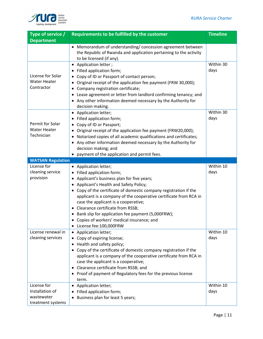

| Type of service /                                                 | Requirements to be fulfilled by the customer                                                                                                                                                                                                                                                                                                                                                                                                                                                        | <b>Timeline</b>   |
|-------------------------------------------------------------------|-----------------------------------------------------------------------------------------------------------------------------------------------------------------------------------------------------------------------------------------------------------------------------------------------------------------------------------------------------------------------------------------------------------------------------------------------------------------------------------------------------|-------------------|
| <b>Department</b>                                                 |                                                                                                                                                                                                                                                                                                                                                                                                                                                                                                     |                   |
|                                                                   | Memorandum of understanding/ concession agreement between<br>the Republic of Rwanda and application pertaining to the activity<br>to be licensed (if any).                                                                                                                                                                                                                                                                                                                                          |                   |
| License for Solar<br><b>Water Heater</b><br>Contractor            | • Application letter;<br>• Filled application form;<br>Copy of ID or Passport of contact person;<br>Original receipt of the application fee payment (FRW 30,000);<br>Company registration certificate;<br>• Lease agreement or letter from landlord confirming tenancy; and<br>• Any other information deemed necessary by the Authority for<br>decision making.                                                                                                                                    | Within 30<br>days |
| Permit for Solar<br><b>Water Heater</b><br>Technician             | • Application letter;<br>Filled application form;<br>Copy of ID or Passport;<br>Original receipt of the application fee payment (FRW20,000);<br>Notarized copies of all academic qualifications and certificates;<br>• Any other information deemed necessary by the Authority for<br>decision making; and<br>payment of the application and permit fees.                                                                                                                                           | Within 30<br>days |
| <b>WATSAN Regulation</b>                                          |                                                                                                                                                                                                                                                                                                                                                                                                                                                                                                     |                   |
| License for<br>cleaning service<br>provision                      | • Application letter;<br>• Filled application form;<br>Applicant's business plan for five years;<br>• Applicant's Health and Safety Policy;<br>• Copy of the certificate of domestic company registration if the<br>applicant is a company of the cooperative certificate from RCA in<br>case the applicant is a cooperative;<br>• Clearance certificate from RSSB;<br>• Bank slip for application fee payment (5,000FRW);<br>• Copies of workers' medical insurance; and<br>License fee:100,000FRW | Within 10<br>days |
| License renewal in<br>cleaning services                           | Application letter;<br>• Copy of expiring license;<br>Health and safety policy;<br>• Copy of the certificate of domestic company registration if the<br>applicant is a company of the cooperative certificate from RCA in<br>case the applicant is a cooperative;<br>• Clearance certificate from RSSB; and<br>• Proof of payment of Regulatory fees for the previous license<br>term.                                                                                                              | Within 10<br>days |
| License for<br>Installation of<br>wastewater<br>treatment systems | Application letter;<br>$\bullet$<br>Filled application form;<br>Business plan for least 5 years;                                                                                                                                                                                                                                                                                                                                                                                                    | Within 10<br>days |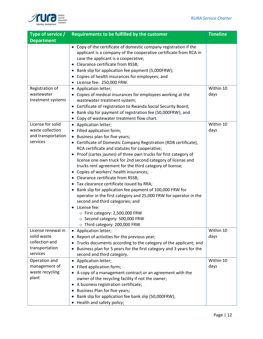

| Type of service $/$             | Requirements to be fulfilled by the customer                                                                                                                                                                                                                                                                                                                                                                                                                                                                                                                                                                                                                                                                                                                       | <b>Timeline</b> |
|---------------------------------|--------------------------------------------------------------------------------------------------------------------------------------------------------------------------------------------------------------------------------------------------------------------------------------------------------------------------------------------------------------------------------------------------------------------------------------------------------------------------------------------------------------------------------------------------------------------------------------------------------------------------------------------------------------------------------------------------------------------------------------------------------------------|-----------------|
| <b>Department</b>               |                                                                                                                                                                                                                                                                                                                                                                                                                                                                                                                                                                                                                                                                                                                                                                    |                 |
|                                 | • Copy of the certificate of domestic company registration if the<br>applicant is a company of the cooperative certificate from RCA in<br>case the applicant is a cooperative;<br>• Clearance certificate from RSSB;<br>• Bank slip for application fee payment (5,000FRW);<br>• Copies of health insurances for employees; and<br>• License fee: 250,000 FRW.                                                                                                                                                                                                                                                                                                                                                                                                     |                 |
| Registration of                 | • Application letter;                                                                                                                                                                                                                                                                                                                                                                                                                                                                                                                                                                                                                                                                                                                                              | Within 10       |
| wastewater<br>treatment systems | • Copies of medical insurances for employees working at the<br>wastewater treatment system;<br>• Certificate of registration to Rwanda Social Security Board;<br>• Bank slip for payment of registration fee (50,000FRW); and<br>• Copy of wastewater treatment flow chart.                                                                                                                                                                                                                                                                                                                                                                                                                                                                                        | days            |
| License for solid               | • Application letter;                                                                                                                                                                                                                                                                                                                                                                                                                                                                                                                                                                                                                                                                                                                                              | Within 10       |
| waste collection                | • Filled application form;                                                                                                                                                                                                                                                                                                                                                                                                                                                                                                                                                                                                                                                                                                                                         | days            |
| and transportation              | • Business plan for five years;                                                                                                                                                                                                                                                                                                                                                                                                                                                                                                                                                                                                                                                                                                                                    |                 |
| services                        | • Certificate of Domestic Company Registration (RDB certificate),<br>RCA certificate and statutes for cooperative;<br>• Proof (cartes jaunes) of three own trucks for first category of<br>license one own truck for 2nd second category of license and<br>trucks rent agreement for the third category of license;<br>• Copies of workers' health insurances;<br>• Clearance certificate from RSSB;<br>• Tax clearance certificate issued by RRA;<br>Bank slip for application fee payment of 100,000 FRW for<br>$\bullet$<br>operator in the first category and 25,000 FRW for operator in the<br>second and third categories; and<br>• License fee:<br>O First category: 2,500,000 FRW<br>○ Second category: 500,000 FRW<br>$\circ$ Third category: 200,000 FRW |                 |
| License renewal in              | • Application letter;                                                                                                                                                                                                                                                                                                                                                                                                                                                                                                                                                                                                                                                                                                                                              | Within 10       |
| solid waste                     | Report of activities for the previous year;                                                                                                                                                                                                                                                                                                                                                                                                                                                                                                                                                                                                                                                                                                                        | days            |
| collection and                  | Trucks documents according to the category of the applicant; and                                                                                                                                                                                                                                                                                                                                                                                                                                                                                                                                                                                                                                                                                                   |                 |
| transportation                  | Business plan for 5 years for the first category and 3 years for the<br>$\bullet$                                                                                                                                                                                                                                                                                                                                                                                                                                                                                                                                                                                                                                                                                  |                 |
| services                        | second and third category.                                                                                                                                                                                                                                                                                                                                                                                                                                                                                                                                                                                                                                                                                                                                         |                 |
| Operation and                   | Application letter;                                                                                                                                                                                                                                                                                                                                                                                                                                                                                                                                                                                                                                                                                                                                                | Within 10       |
| management of                   | • Filled application form;                                                                                                                                                                                                                                                                                                                                                                                                                                                                                                                                                                                                                                                                                                                                         | days            |
| waste recycling<br>plant        | • A copy of a management contract or an agreement with the                                                                                                                                                                                                                                                                                                                                                                                                                                                                                                                                                                                                                                                                                                         |                 |
|                                 | owner of the recycling facility if not the owner;                                                                                                                                                                                                                                                                                                                                                                                                                                                                                                                                                                                                                                                                                                                  |                 |
|                                 | • A business registration certificate;<br>• Business Plan for five years;                                                                                                                                                                                                                                                                                                                                                                                                                                                                                                                                                                                                                                                                                          |                 |
|                                 | • Bank slip for application fee bank slip (50,000FRW);                                                                                                                                                                                                                                                                                                                                                                                                                                                                                                                                                                                                                                                                                                             |                 |
|                                 | • Health and safety policy;                                                                                                                                                                                                                                                                                                                                                                                                                                                                                                                                                                                                                                                                                                                                        |                 |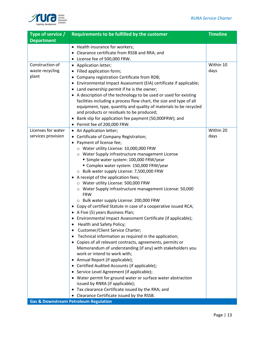

| Type of service /  | Requirements to be fulfilled by the customer                                              | <b>Timeline</b> |
|--------------------|-------------------------------------------------------------------------------------------|-----------------|
| <b>Department</b>  |                                                                                           |                 |
|                    | • Health insurance for workers;                                                           |                 |
|                    | • Clearance certificate from RSSB and RRA; and                                            |                 |
|                    | • License fee of 500,000 FRW.                                                             |                 |
| Construction of    | • Application letter;                                                                     | Within 10       |
| waste recycling    | • Filled application form;                                                                | days            |
| plant              | • Company registration Certificate from RDB;                                              |                 |
|                    | • Environmental Impact Assessment (EIA) certificate if applicable;                        |                 |
|                    | • Land ownership permit if he is the owner;                                               |                 |
|                    | • A description of the technology to be used or used for existing                         |                 |
|                    | facilities including a process flow chart, the size and type of all                       |                 |
|                    | equipment, type, quantity and quality of materials to be recycled                         |                 |
|                    | and products or residuals to be produced;                                                 |                 |
|                    | • Bank slip for application fee payment (50,000FRW); and                                  |                 |
|                    | • Permit fee of 200,000 FRW.                                                              |                 |
| Licenses for water | • An Application letter;                                                                  | Within 20       |
| services provision | Certificate of Company Registration;                                                      | days            |
|                    | Payment of license fee;                                                                   |                 |
|                    | O Water utility License: 10,000,000 FRW                                                   |                 |
|                    | O Water Supply infrastructure management License<br>Simple water system: 100,000 FRW/year |                 |
|                    | Complex water system: 150,000 FRW/year                                                    |                 |
|                    | ○ Bulk water supply License: 7,500,000 FRW                                                |                 |
|                    | • A receipt of the application fees;                                                      |                 |
|                    | O Water utility License: 500,000 FRW                                                      |                 |
|                    | Water Supply infrastructure management License: 50,000<br>$\circ$                         |                 |
|                    | <b>FRW</b>                                                                                |                 |
|                    | ○ Bulk water supply License: 200,000 FRW                                                  |                 |
|                    | • Copy of certified Statute in case of a cooperative issued RCA;                          |                 |
|                    | • A Five (5) years Business Plan;                                                         |                 |
|                    | • Environmental Impact Assessment Certificate (if applicable);                            |                 |
|                    | Health and Safety Policy;                                                                 |                 |
|                    | Customer/Client Service Charter;                                                          |                 |
|                    | Technical information as required in the application;                                     |                 |
|                    | • Copies of all relevant contracts, agreements, permits or                                |                 |
|                    | Memorandum of understanding (if any) with stakeholders you                                |                 |
|                    | work or intend to work with;                                                              |                 |
|                    | • Annual Report (if applicable);                                                          |                 |
|                    | • Certified Audited Accounts (if applicable);                                             |                 |
|                    | • Service Level Agreement (if applicable);                                                |                 |
|                    | • Water permit for ground water or surface water abstraction                              |                 |
|                    | issued by RNRA (if applicable);                                                           |                 |
|                    | • Tax clearance Certificate issued by the RRA; and                                        |                 |
|                    | • Clearance Certificate issued by the RSSB.                                               |                 |
|                    | <b>Gas &amp; Downstream Petroleum Regulation</b>                                          |                 |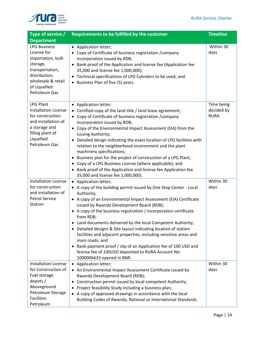

| Type of service /                                                                                                                                              | Requirements to be fulfilled by the customer                                                                                                                                                                                                                                                                                                                                                                                                                                                                                                                                                                                                                                               | <b>Timeline</b>                         |
|----------------------------------------------------------------------------------------------------------------------------------------------------------------|--------------------------------------------------------------------------------------------------------------------------------------------------------------------------------------------------------------------------------------------------------------------------------------------------------------------------------------------------------------------------------------------------------------------------------------------------------------------------------------------------------------------------------------------------------------------------------------------------------------------------------------------------------------------------------------------|-----------------------------------------|
| <b>Department</b>                                                                                                                                              |                                                                                                                                                                                                                                                                                                                                                                                                                                                                                                                                                                                                                                                                                            |                                         |
| <b>LPG Business</b><br>License for<br>importation, bulk<br>storage,<br>transportation,<br>distribution,<br>wholesale & retail<br>of Liquefied<br>Petroleum Gas | • Application letter;<br>• Copy of Certificate of business registration / company<br>incorporation issued by RDB;<br>Bank proof of the Application and license fee (Application fee<br>35,000 and license fee 1,000,000);<br>Technical specifications of LPG Cylinders to be used; and<br>Business Plan of five (5) years.                                                                                                                                                                                                                                                                                                                                                                 | Within 30<br>days                       |
| <b>LPG Plant</b><br><b>Installation License</b><br>for construction<br>and installation of<br>a storage and<br>filling plant of<br>Liquefied<br>Petroleum Gas  | • Application letter;<br>Certified copy of the land title / land lease agreement;<br>Copy of Certificate of business registration / company<br>incorporation issued by RDB;<br>• Copy of the Environmental Impact Assessment (EIA) from the<br>issuing Authority;<br>Detailed design indicating the exact location of LPG facilities with<br>$\bullet$<br>relation to the neighborhood environment and the plant<br>machinery specifications;<br>Business plan for the project of construction of a LPG Plant;<br>• Copy of a LPG Business License (where applicable); and<br>• Bank proof of the Application and license fee Application fee<br>35,000 and license fee 1,000,000).        | Time being<br>decided by<br><b>RURA</b> |
| <b>Installation License</b><br>for construction<br>and installation of<br><b>Petrol Service</b><br>Station                                                     | • Application letter;<br>• A copy of the building permit issued by One Stop Center - Local<br>Authority;<br>• A copy of an Environmental Impact Assessment (EIA) Certificate<br>issued by Rwanda Development Board (RDB);<br>• A copy of the business registration / incorporation certificate<br>from RDB;<br>Land documents delivered by the local Competent Authority;<br>Detailed designs & Site layout indicating location of station<br>facilities and adjacent properties, including sensitive areas and<br>main roads; and<br>• Bank payment proof / slip of an Application fee of 100 USD and<br>license fee of 100USD deposited to RURA Account No:<br>1000006633 opened in BNR. | Within 30<br>days                       |
| <b>Installation License</b><br>for Construction of<br>Fuel storage<br>depots $/$<br>Aboveground<br>Petroleum Storage<br><b>Facilities</b><br>Petroleum         | • Application letter;<br>• An Environmental Impact Assessment Certificate issued by<br>Rwanda Development Board (RDB);<br>Construction permit issued by local competent Authority;<br>$\bullet$<br>Project feasibility Study including a business plan;<br>$\bullet$<br>A copy of approved drawings in accordance with the local<br>Building Codes of Rwanda, National or International Standards                                                                                                                                                                                                                                                                                          | Within 30<br>days                       |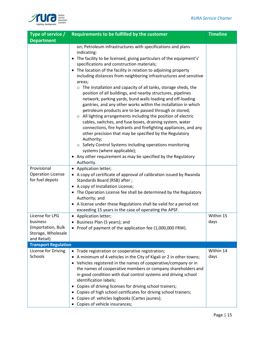

| Type of service /                                                                                                                                    | Requirements to be fulfilled by the customer                                                                                                                                                                                                                                                                                                                                                                                                                                                                                                                                                                                                                                                                                                                                                                                                                                                                                                                                                                                                                                                                                   | <b>Timeline</b>   |
|------------------------------------------------------------------------------------------------------------------------------------------------------|--------------------------------------------------------------------------------------------------------------------------------------------------------------------------------------------------------------------------------------------------------------------------------------------------------------------------------------------------------------------------------------------------------------------------------------------------------------------------------------------------------------------------------------------------------------------------------------------------------------------------------------------------------------------------------------------------------------------------------------------------------------------------------------------------------------------------------------------------------------------------------------------------------------------------------------------------------------------------------------------------------------------------------------------------------------------------------------------------------------------------------|-------------------|
| <b>Department</b>                                                                                                                                    |                                                                                                                                                                                                                                                                                                                                                                                                                                                                                                                                                                                                                                                                                                                                                                                                                                                                                                                                                                                                                                                                                                                                |                   |
|                                                                                                                                                      | on; Petroleum infrastructures with specifications and plans<br>indicating:<br>• The facility to be licensed, giving particulars of the equipment's'<br>specifications and construction materials;<br>• The location of the facility in relation to adjoining property<br>including distances from neighboring infrastructures and sensitive<br>areas;<br>$\circ$ The installation and capacity of all tanks, storage sheds, the<br>position of all buildings, and nearby structures, pipelines<br>network, parking yards, bund walls loading and off-loading<br>gantries, and any other works within the installation in which<br>petroleum products are to be passed through or stored;<br>o All lighting arrangements including the position of electric<br>cables, switches, and fuse boxes, draining system, water<br>connections, fire hydrants and firefighting appliances, and any<br>other precision that may be specified by the Regulatory<br>Authority;<br>○ Safety Control Systems including operations monitoring<br>systems (where applicable);<br>• Any other requirement as may be specified by the Regulatory |                   |
|                                                                                                                                                      | Authority.                                                                                                                                                                                                                                                                                                                                                                                                                                                                                                                                                                                                                                                                                                                                                                                                                                                                                                                                                                                                                                                                                                                     |                   |
| Provisional<br><b>Operation License</b><br>for fuel depots<br>License for LPG<br>business<br>(Importation, Bulk<br>Storage, Wholesale<br>and Retail) | • Application letter;<br>• A copy of certificate of approval of calibration issued by Rwanda<br>Standards Board (RSB) after;<br>• A copy of Installation License;<br>• The Operation License fee shall be determined by the Regulatory<br>Authority; and<br>• A license under these Regulations shall be valid for a period not<br>exceeding 15 years in the case of operating the APSF.<br>• Application letter;<br>• Business Plan (5 years); and<br>• Proof of payment of the application fee (1,000,000 FRW).                                                                                                                                                                                                                                                                                                                                                                                                                                                                                                                                                                                                              | Within 15<br>days |
| <b>Transport Regulation</b>                                                                                                                          |                                                                                                                                                                                                                                                                                                                                                                                                                                                                                                                                                                                                                                                                                                                                                                                                                                                                                                                                                                                                                                                                                                                                |                   |
| License for Driving<br>Schools                                                                                                                       | • Trade registration or cooperative registration;<br>A minimum of 4 vehicles in the City of Kigali or 2 in other towns;<br>• Vehicles registered in the names of cooperative/company or in<br>the names of cooperative members or company shareholders and<br>in good condition with dual control systems and driving school<br>identification labels;<br>Copies of driving licenses for driving school trainers;<br>Copies of high school certificates for driving school trainers;<br>Copies of vehicles logbooks (Cartes jaunes);<br>Copies of vehicle insurances;                                                                                                                                                                                                                                                                                                                                                                                                                                                                                                                                                          | Within 14<br>days |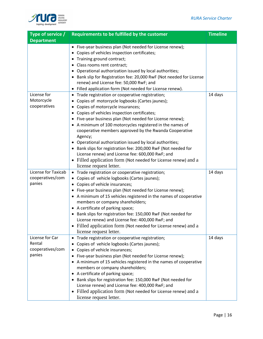

| Type of service /                                       | Requirements to be fulfilled by the customer                                                                                                                                                                                                                                                                                                                                                                                                                                                                                                                                                                                                                             | <b>Timeline</b> |
|---------------------------------------------------------|--------------------------------------------------------------------------------------------------------------------------------------------------------------------------------------------------------------------------------------------------------------------------------------------------------------------------------------------------------------------------------------------------------------------------------------------------------------------------------------------------------------------------------------------------------------------------------------------------------------------------------------------------------------------------|-----------------|
| <b>Department</b>                                       | • Five-year business plan (Not needed for License renew);<br>• Copies of vehicles inspection certificates;<br>• Training ground contract;<br>• Class rooms rent contract;<br>• Operational authorization issued by local authorities;<br>• Bank slip for Registration fee: 20,000 RwF (Not needed for License                                                                                                                                                                                                                                                                                                                                                            |                 |
|                                                         | renew) and License fee: 50,000 RwF; and<br>• Filled application form (Not needed for License renew).                                                                                                                                                                                                                                                                                                                                                                                                                                                                                                                                                                     |                 |
| License for<br>Motorcycle<br>cooperatives               | • Trade registration or cooperative registration;<br>Copies of motorcycle logbooks (Cartes jaunes);<br>• Copies of motorcycle insurances;<br>• Copies of vehicles inspection certificates;<br>• Five-year business plan (Not needed for License renew);<br>• A minimum of 100 motorcycles registered in the names of<br>cooperative members approved by the Rwanda Cooperative<br>Agency;<br>• Operational authorization issued by local authorities;<br>• Bank slips for registration fee: 200,000 RwF (Not needed for<br>License renew) and License fee: 600,000 RwF; and<br>• Filled application form (Not needed for License renew) and a<br>license request letter. | 14 days         |
| License for Taxicab<br>cooperatives/com<br>panies       | • Trade registration or cooperative registration;<br>• Copies of vehicle logbooks (Cartes jaunes);<br>• Copies of vehicle insurances;<br>• Five-year business plan (Not needed for License renew);<br>• A minimum of 15 vehicles registered in the names of cooperative<br>members or company shareholders;<br>• A certificate of parking space;<br>• Bank slips for registration fee: 150,000 RwF (Not needed for<br>License renew) and License fee: 400,000 RwF; and<br>• Filled application form (Not needed for License renew) and a<br>license request letter.                                                                                                      | 14 days         |
| License for Car<br>Rental<br>cooperatives/com<br>panies | • Trade registration or cooperative registration;<br>Copies of vehicle logbooks (Cartes jaunes);<br>Copies of vehicle insurances;<br>• Five-year business plan (Not needed for License renew);<br>• A minimum of 15 vehicles registered in the names of cooperative<br>members or company shareholders;<br>• A certificate of parking space;<br>• Bank slips for registration fee: 150,000 RwF (Not needed for<br>License renew) and License fee: 400,000 RwF; and<br>• Filled application form (Not needed for License renew) and a<br>license request letter.                                                                                                          | 14 days         |